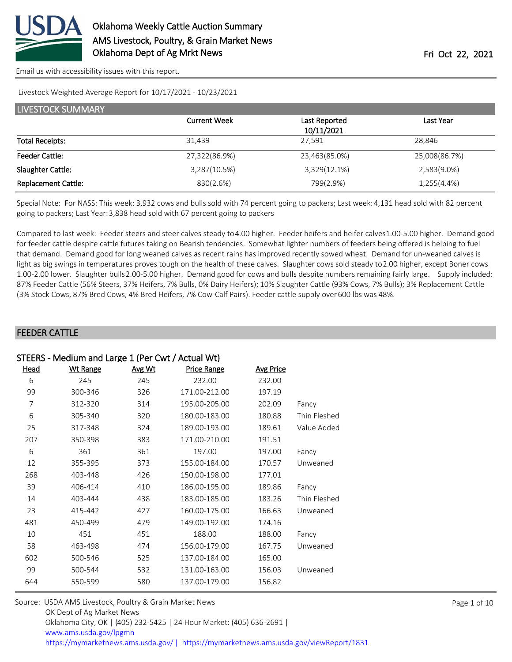

[Email us with accessibility issues with this report.](mailto:mars@ams.usda.gov?subject=508%20issue)

Livestock Weighted Average Report for 10/17/2021 - 10/23/2021

| LIVESTOCK SUMMARY          |                     |               |               |  |  |  |
|----------------------------|---------------------|---------------|---------------|--|--|--|
|                            | <b>Current Week</b> | Last Reported | Last Year     |  |  |  |
|                            |                     | 10/11/2021    |               |  |  |  |
| <b>Total Receipts:</b>     | 31,439              | 27,591        | 28.846        |  |  |  |
| <b>Feeder Cattle:</b>      | 27,322(86.9%)       | 23,463(85.0%) | 25,008(86.7%) |  |  |  |
| Slaughter Cattle:          | 3,287(10.5%)        | 3,329(12.1%)  | 2,583(9.0%)   |  |  |  |
| <b>Replacement Cattle:</b> | 830(2.6%)           | 799(2.9%)     | 1,255(4.4%)   |  |  |  |

Special Note: For NASS: This week: 3,932 cows and bulls sold with 74 percent going to packers; Last week: 4,131 head sold with 82 percent going to packers; Last Year: 3,838 head sold with 67 percent going to packers

Compared to last week: Feeder steers and steer calves steady to 4.00 higher. Feeder heifers and heifer calves 1.00-5.00 higher. Demand good for feeder cattle despite cattle futures taking on Bearish tendencies. Somewhat lighter numbers of feeders being offered is helping to fuel that demand. Demand good for long weaned calves as recent rains has improved recently sowed wheat. Demand for un-weaned calves is light as big swings in temperatures proves tough on the health of these calves. Slaughter cows sold steady to 2.00 higher, except Boner cows 1.00-2.00 lower. Slaughter bulls 2.00-5.00 higher. Demand good for cows and bulls despite numbers remaining fairly large. Supply included: 87% Feeder Cattle (56% Steers, 37% Heifers, 7% Bulls, 0% Dairy Heifers); 10% Slaughter Cattle (93% Cows, 7% Bulls); 3% Replacement Cattle (3% Stock Cows, 87% Bred Cows, 4% Bred Heifers, 7% Cow-Calf Pairs). Feeder cattle supply over 600 lbs was 48%.

#### FEEDER CATTLE

| STEERS - Medium and Large 1 (Per Cwt / Actual Wt) |                 |        |                    |                  |              |
|---------------------------------------------------|-----------------|--------|--------------------|------------------|--------------|
| Head                                              | <b>Wt Range</b> | Avg Wt | <b>Price Range</b> | <b>Avg Price</b> |              |
| 6                                                 | 245             | 245    | 232.00             | 232.00           |              |
| 99                                                | 300-346         | 326    | 171.00-212.00      | 197.19           |              |
| 7                                                 | 312-320         | 314    | 195.00-205.00      | 202.09           | Fancy        |
| 6                                                 | 305-340         | 320    | 180.00-183.00      | 180.88           | Thin Fleshed |
| 25                                                | 317-348         | 324    | 189.00-193.00      | 189.61           | Value Added  |
| 207                                               | 350-398         | 383    | 171.00-210.00      | 191.51           |              |
| 6                                                 | 361             | 361    | 197.00             | 197.00           | Fancy        |
| 12                                                | 355-395         | 373    | 155.00-184.00      | 170.57           | Unweaned     |
| 268                                               | 403-448         | 426    | 150.00-198.00      | 177.01           |              |
| 39                                                | 406-414         | 410    | 186.00-195.00      | 189.86           | Fancy        |
| 14                                                | 403-444         | 438    | 183.00-185.00      | 183.26           | Thin Fleshed |
| 23                                                | 415-442         | 427    | 160.00-175.00      | 166.63           | Unweaned     |
| 481                                               | 450-499         | 479    | 149.00-192.00      | 174.16           |              |
| 10                                                | 451             | 451    | 188.00             | 188.00           | Fancy        |
| 58                                                | 463-498         | 474    | 156.00-179.00      | 167.75           | Unweaned     |
| 602                                               | 500-546         | 525    | 137.00-184.00      | 165.00           |              |
| 99                                                | 500-544         | 532    | 131.00-163.00      | 156.03           | Unweaned     |
| 644                                               | 550-599         | 580    | 137.00-179.00      | 156.82           |              |
|                                                   |                 |        |                    |                  |              |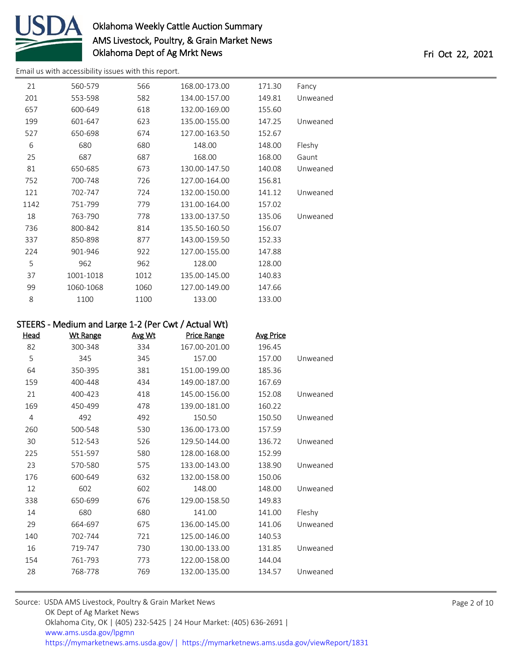

[Email us with accessibility issues with this report.](mailto:mars@ams.usda.gov?subject=508%20issue)

| 21   | 560-579   | 566  | 168.00-173.00 | 171.30 | Fancy    |
|------|-----------|------|---------------|--------|----------|
| 201  | 553-598   | 582  | 134.00-157.00 | 149.81 | Unweaned |
| 657  | 600-649   | 618  | 132.00-169.00 | 155.60 |          |
| 199  | 601-647   | 623  | 135.00-155.00 | 147.25 | Unweaned |
| 527  | 650-698   | 674  | 127.00-163.50 | 152.67 |          |
| 6    | 680       | 680  | 148.00        | 148.00 | Fleshy   |
| 25   | 687       | 687  | 168.00        | 168.00 | Gaunt    |
| 81   | 650-685   | 673  | 130.00-147.50 | 140.08 | Unweaned |
| 752  | 700-748   | 726  | 127.00-164.00 | 156.81 |          |
| 121  | 702-747   | 724  | 132.00-150.00 | 141.12 | Unweaned |
| 1142 | 751-799   | 779  | 131.00-164.00 | 157.02 |          |
| 18   | 763-790   | 778  | 133.00-137.50 | 135.06 | Unweaned |
| 736  | 800-842   | 814  | 135.50-160.50 | 156.07 |          |
| 337  | 850-898   | 877  | 143.00-159.50 | 152.33 |          |
| 224  | 901-946   | 922  | 127.00-155.00 | 147.88 |          |
| 5    | 962       | 962  | 128.00        | 128.00 |          |
| 37   | 1001-1018 | 1012 | 135.00-145.00 | 140.83 |          |
| 99   | 1060-1068 | 1060 | 127.00-149.00 | 147.66 |          |
| 8    | 1100      | 1100 | 133.00        | 133.00 |          |
|      |           |      |               |        |          |

### STEERS - Medium and Large 1-2 (Per Cwt / Actual Wt)

| <b>Head</b>    | <b>Wt Range</b> | Avg Wt | Price Range   | <b>Avg Price</b> |          |
|----------------|-----------------|--------|---------------|------------------|----------|
| 82             | 300-348         | 334    | 167.00-201.00 | 196.45           |          |
| 5              | 345             | 345    | 157.00        | 157.00           | Unweaned |
| 64             | 350-395         | 381    | 151.00-199.00 | 185.36           |          |
| 159            | 400-448         | 434    | 149.00-187.00 | 167.69           |          |
| 21             | 400-423         | 418    | 145.00-156.00 | 152.08           | Unweaned |
| 169            | 450-499         | 478    | 139.00-181.00 | 160.22           |          |
| $\overline{4}$ | 492             | 492    | 150.50        | 150.50           | Unweaned |
| 260            | 500-548         | 530    | 136.00-173.00 | 157.59           |          |
| 30             | 512-543         | 526    | 129.50-144.00 | 136.72           | Unweaned |
| 225            | 551-597         | 580    | 128.00-168.00 | 152.99           |          |
| 23             | 570-580         | 575    | 133.00-143.00 | 138.90           | Unweaned |
| 176            | 600-649         | 632    | 132.00-158.00 | 150.06           |          |
| 12             | 602             | 602    | 148.00        | 148.00           | Unweaned |
| 338            | 650-699         | 676    | 129.00-158.50 | 149.83           |          |
| 14             | 680             | 680    | 141.00        | 141.00           | Fleshy   |
| 29             | 664-697         | 675    | 136.00-145.00 | 141.06           | Unweaned |
| 140            | 702-744         | 721    | 125.00-146.00 | 140.53           |          |
| 16             | 719-747         | 730    | 130.00-133.00 | 131.85           | Unweaned |
| 154            | 761-793         | 773    | 122.00-158.00 | 144.04           |          |
| 28             | 768-778         | 769    | 132.00-135.00 | 134.57           | Unweaned |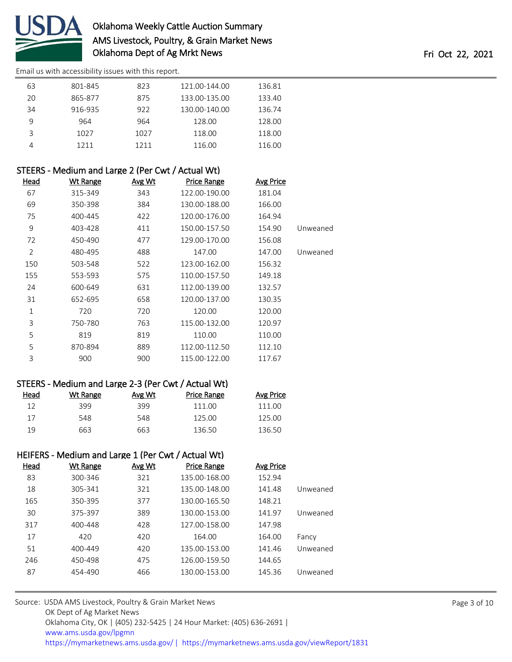

[Email us with accessibility issues with this report.](mailto:mars@ams.usda.gov?subject=508%20issue)

| 63 | 801-845 | 823  | 121.00-144.00 | 136.81 |  |
|----|---------|------|---------------|--------|--|
| 20 | 865-877 | 875  | 133.00-135.00 | 133.40 |  |
| 34 | 916-935 | 922  | 130.00-140.00 | 136.74 |  |
| 9  | 964     | 964  | 128.00        | 128.00 |  |
| 3  | 1027    | 1027 | 118.00        | 118.00 |  |
|    | 1211    | 1211 | 116.00        | 116.00 |  |

| STEERS - Medium and Large 2 (Per Cwt / Actual Wt) |                 |               |                    |           |          |
|---------------------------------------------------|-----------------|---------------|--------------------|-----------|----------|
| Head                                              | <b>Wt Range</b> | <u>Avg Wt</u> | <b>Price Range</b> | Avg Price |          |
| 67                                                | 315-349         | 343           | 122.00-190.00      | 181.04    |          |
| 69                                                | 350-398         | 384           | 130.00-188.00      | 166.00    |          |
| 75                                                | 400-445         | 422           | 120.00-176.00      | 164.94    |          |
| 9                                                 | 403-428         | 411           | 150.00-157.50      | 154.90    | Unweaned |
| 72                                                | 450-490         | 477           | 129.00-170.00      | 156.08    |          |
| $\overline{2}$                                    | 480-495         | 488           | 147.00             | 147.00    | Unweaned |
| 150                                               | 503-548         | 522           | 123.00-162.00      | 156.32    |          |
| 155                                               | 553-593         | 575           | 110.00-157.50      | 149.18    |          |
| 24                                                | 600-649         | 631           | 112.00-139.00      | 132.57    |          |
| 31                                                | 652-695         | 658           | 120.00-137.00      | 130.35    |          |
| 1                                                 | 720             | 720           | 120.00             | 120.00    |          |
| 3                                                 | 750-780         | 763           | 115.00-132.00      | 120.97    |          |
| 5                                                 | 819             | 819           | 110.00             | 110.00    |          |
| 5                                                 | 870-894         | 889           | 112.00-112.50      | 112.10    |          |
| 3                                                 | 900             | 900           | 115.00-122.00      | 117.67    |          |

### STEERS - Medium and Large 2-3 (Per Cwt / Actual Wt)

| Head | Wt Range | Avg Wt | Price Range | Avg Price |
|------|----------|--------|-------------|-----------|
| 12   | 399      | 399    | 111 00      | 111 OO    |
| 17   | 548      | 548    | 125.00      | 125.00    |
| 19   | 663      | 663    | 136.50      | 136.50    |

## HEIFERS - Medium and Large 1 (Per Cwt / Actual Wt)

| Head | <b>Wt Range</b> | Avg Wt | <b>Price Range</b> | Avg Price |          |
|------|-----------------|--------|--------------------|-----------|----------|
| 83   | 300-346         | 321    | 135.00-168.00      | 152.94    |          |
| 18   | 305-341         | 321    | 135.00-148.00      | 141.48    | Unweaned |
| 165  | 350-395         | 377    | 130.00-165.50      | 148.21    |          |
| 30   | 375-397         | 389    | 130.00-153.00      | 141.97    | Unweaned |
| 317  | 400-448         | 428    | 127.00-158.00      | 147.98    |          |
| 17   | 420             | 420    | 164.00             | 164.00    | Fancy    |
| 51   | 400-449         | 420    | 135.00-153.00      | 141.46    | Unweaned |
| 246  | 450-498         | 475    | 126.00-159.50      | 144.65    |          |
| 87   | 454-490         | 466    | 130.00-153.00      | 145.36    | Unweaned |

| Source: USDA AMS Livestock, Poultry & Grain Market News                                |
|----------------------------------------------------------------------------------------|
| OK Dept of Ag Market News                                                              |
| Oklahoma City, OK   (405) 232-5425   24 Hour Market: (405) 636-2691                    |
| www.ams.usda.gov/lpgmn                                                                 |
| https://mymarketnews.ams.usda.gov/   https://mymarketnews.ams.usda.gov/viewReport/1831 |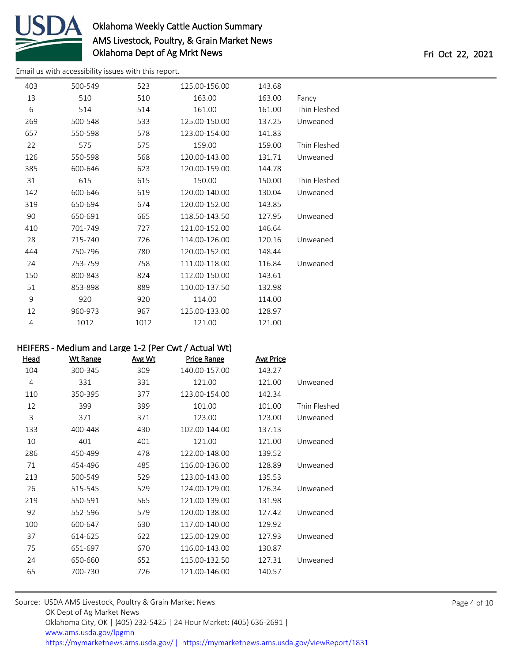

[Email us with accessibility issues with this report.](mailto:mars@ams.usda.gov?subject=508%20issue)

| 403 | 500-549 | 523  | 125.00-156.00 | 143.68 |              |
|-----|---------|------|---------------|--------|--------------|
| 13  | 510     | 510  | 163.00        | 163.00 | Fancy        |
| 6   | 514     | 514  | 161.00        | 161.00 | Thin Fleshed |
| 269 | 500-548 | 533  | 125.00-150.00 | 137.25 | Unweaned     |
| 657 | 550-598 | 578  | 123.00-154.00 | 141.83 |              |
| 22  | 575     | 575  | 159.00        | 159.00 | Thin Fleshed |
| 126 | 550-598 | 568  | 120.00-143.00 | 131.71 | Unweaned     |
| 385 | 600-646 | 623  | 120.00-159.00 | 144.78 |              |
| 31  | 615     | 615  | 150.00        | 150.00 | Thin Fleshed |
| 142 | 600-646 | 619  | 120.00-140.00 | 130.04 | Unweaned     |
| 319 | 650-694 | 674  | 120.00-152.00 | 143.85 |              |
| 90  | 650-691 | 665  | 118.50-143.50 | 127.95 | Unweaned     |
| 410 | 701-749 | 727  | 121.00-152.00 | 146.64 |              |
| 28  | 715-740 | 726  | 114.00-126.00 | 120.16 | Unweaned     |
| 444 | 750-796 | 780  | 120.00-152.00 | 148.44 |              |
| 24  | 753-759 | 758  | 111.00-118.00 | 116.84 | Unweaned     |
| 150 | 800-843 | 824  | 112.00-150.00 | 143.61 |              |
| 51  | 853-898 | 889  | 110.00-137.50 | 132.98 |              |
| 9   | 920     | 920  | 114.00        | 114.00 |              |
| 12  | 960-973 | 967  | 125.00-133.00 | 128.97 |              |
| 4   | 1012    | 1012 | 121.00        | 121.00 |              |

### HEIFERS - Medium and Large 1-2 (Per Cwt / Actual Wt)

| Head | <b>Wt Range</b> | Avg Wt | <b>Price Range</b> | <b>Avg Price</b> |              |
|------|-----------------|--------|--------------------|------------------|--------------|
| 104  | 300-345         | 309    | 140.00-157.00      | 143.27           |              |
| 4    | 331             | 331    | 121.00             | 121.00           | Unweaned     |
| 110  | 350-395         | 377    | 123.00-154.00      | 142.34           |              |
| 12   | 399             | 399    | 101.00             | 101.00           | Thin Fleshed |
| 3    | 371             | 371    | 123.00             | 123.00           | Unweaned     |
| 133  | 400-448         | 430    | 102.00-144.00      | 137.13           |              |
| 10   | 401             | 401    | 121.00             | 121.00           | Unweaned     |
| 286  | 450-499         | 478    | 122.00-148.00      | 139.52           |              |
| 71   | 454-496         | 485    | 116.00-136.00      | 128.89           | Unweaned     |
| 213  | 500-549         | 529    | 123.00-143.00      | 135.53           |              |
| 26   | 515-545         | 529    | 124.00-129.00      | 126.34           | Unweaned     |
| 219  | 550-591         | 565    | 121.00-139.00      | 131.98           |              |
| 92   | 552-596         | 579    | 120.00-138.00      | 127.42           | Unweaned     |
| 100  | 600-647         | 630    | 117.00-140.00      | 129.92           |              |
| 37   | 614-625         | 622    | 125.00-129.00      | 127.93           | Unweaned     |
| 75   | 651-697         | 670    | 116.00-143.00      | 130.87           |              |
| 24   | 650-660         | 652    | 115.00-132.50      | 127.31           | Unweaned     |
| 65   | 700-730         | 726    | 121.00-146.00      | 140.57           |              |
|      |                 |        |                    |                  |              |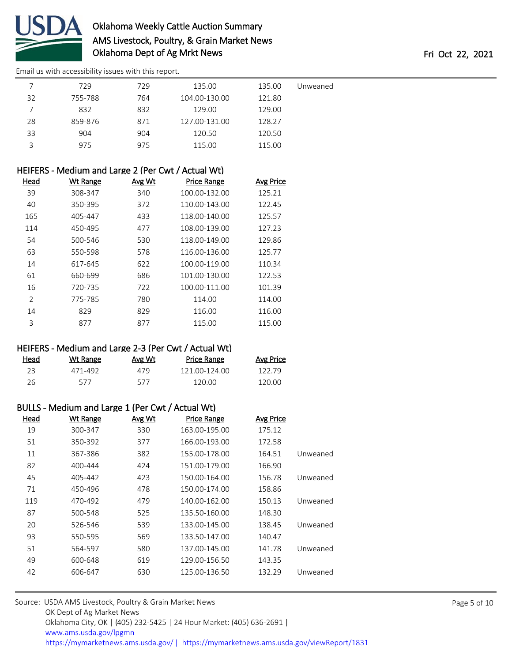

[Email us with accessibility issues with this report.](mailto:mars@ams.usda.gov?subject=508%20issue)

|    | 729     | 729 | 135.00        | 135.00 | Unweaned |
|----|---------|-----|---------------|--------|----------|
| 32 | 755-788 | 764 | 104.00-130.00 | 121.80 |          |
|    | 832     | 832 | 129.00        | 129.00 |          |
| 28 | 859-876 | 871 | 127.00-131.00 | 128.27 |          |
| 33 | 904     | 904 | 120.50        | 120.50 |          |
| ς  | 975     | 975 | 115.00        | 115.00 |          |
|    |         |     |               |        |          |

| HEIFERS - Medium and Large 2 (Per Cwt / Actual Wt) |                 |               |                    |                  |  |  |  |
|----------------------------------------------------|-----------------|---------------|--------------------|------------------|--|--|--|
| Head                                               | <b>Wt Range</b> | <b>Avg Wt</b> | <b>Price Range</b> | <b>Avg Price</b> |  |  |  |
| 39                                                 | 308-347         | 340           | 100.00-132.00      | 125.21           |  |  |  |
| 40                                                 | 350-395         | 372           | 110.00-143.00      | 122.45           |  |  |  |
| 165                                                | 405-447         | 433           | 118.00-140.00      | 125.57           |  |  |  |
| 114                                                | 450-495         | 477           | 108.00-139.00      | 127.23           |  |  |  |
| 54                                                 | 500-546         | 530           | 118.00-149.00      | 129.86           |  |  |  |
| 63                                                 | 550-598         | 578           | 116.00-136.00      | 125.77           |  |  |  |
| 14                                                 | 617-645         | 622           | 100.00-119.00      | 110.34           |  |  |  |
| 61                                                 | 660-699         | 686           | 101.00-130.00      | 122.53           |  |  |  |
| 16                                                 | 720-735         | 722           | 100.00-111.00      | 101.39           |  |  |  |
| $\overline{2}$                                     | 775-785         | 780           | 114.00             | 114.00           |  |  |  |
| 14                                                 | 829             | 829           | 116.00             | 116.00           |  |  |  |
| 3                                                  | 877             | 877           | 115.00             | 115.00           |  |  |  |

### HEIFERS - Medium and Large 2-3 (Per Cwt / Actual Wt)

| <u>Head</u> | Wt Range | <u>Avg Wt</u> | <b>Price Range</b> | <b>Avg Price</b> |
|-------------|----------|---------------|--------------------|------------------|
| 23          | 471-492  | 479           | 121.00-124.00      | 122.79           |
| 26          | 577      | 577           | 120.00             | 120.00           |

### BULLS - Medium and Large 1 (Per Cwt / Actual Wt)

| <b>Wt Range</b> | Avg Wt | <b>Price Range</b> | <b>Avg Price</b> |          |
|-----------------|--------|--------------------|------------------|----------|
| 300-347         | 330    | 163.00-195.00      | 175.12           |          |
| 350-392         | 377    | 166.00-193.00      | 172.58           |          |
| 367-386         | 382    | 155.00-178.00      | 164.51           | Unweaned |
| 400-444         | 424    | 151.00-179.00      | 166.90           |          |
| 405-442         | 423    | 150.00-164.00      | 156.78           | Unweaned |
| 450-496         | 478    | 150.00-174.00      | 158.86           |          |
| 470-492         | 479    | 140.00-162.00      | 150.13           | Unweaned |
| 500-548         | 525    | 135.50-160.00      | 148.30           |          |
| 526-546         | 539    | 133.00-145.00      | 138.45           | Unweaned |
| 550-595         | 569    | 133.50-147.00      | 140.47           |          |
| 564-597         | 580    | 137.00-145.00      | 141.78           | Unweaned |
| 600-648         | 619    | 129.00-156.50      | 143.35           |          |
| 606-647         | 630    | 125.00-136.50      | 132.29           | Unweaned |
|                 |        |                    |                  |          |

| Source: USDA AMS Livestock, Poultry & Grain Market News                                |
|----------------------------------------------------------------------------------------|
| OK Dept of Ag Market News                                                              |
| Oklahoma City, OK   (405) 232-5425   24 Hour Market: (405) 636-2691                    |
| www.ams.usda.gov/lpgmn                                                                 |
| https://mymarketnews.ams.usda.gov/   https://mymarketnews.ams.usda.gov/viewReport/1831 |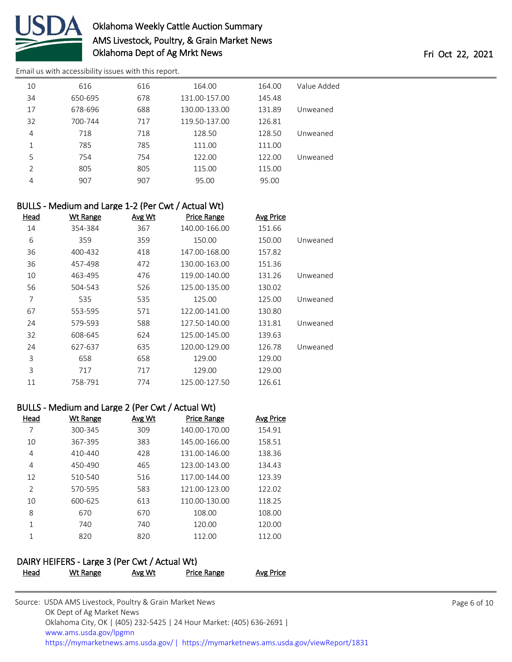

[Email us with accessibility issues with this report.](mailto:mars@ams.usda.gov?subject=508%20issue)

| 10 | 616     | 616 | 164.00        | 164.00 | Value Added |
|----|---------|-----|---------------|--------|-------------|
| 34 | 650-695 | 678 | 131.00-157.00 | 145.48 |             |
| 17 | 678-696 | 688 | 130.00-133.00 | 131.89 | Unweaned    |
| 32 | 700-744 | 717 | 119.50-137.00 | 126.81 |             |
| 4  | 718     | 718 | 128.50        | 128.50 | Unweaned    |
| 1  | 785     | 785 | 111.00        | 111.00 |             |
| 5  | 754     | 754 | 122.00        | 122.00 | Unweaned    |
| 2  | 805     | 805 | 115.00        | 115.00 |             |
| 4  | 907     | 907 | 95.00         | 95.00  |             |
|    |         |     |               |        |             |

### BULLS - Medium and Large 1-2 (Per Cwt / Actual Wt)

| <b>Head</b> | <b>Wt Range</b> | Avg Wt | <b>Price Range</b> | <b>Avg Price</b> |          |
|-------------|-----------------|--------|--------------------|------------------|----------|
| 14          | 354-384         | 367    | 140.00-166.00      | 151.66           |          |
| 6           | 359             | 359    | 150.00             | 150.00           | Unweaned |
| 36          | 400-432         | 418    | 147.00-168.00      | 157.82           |          |
| 36          | 457-498         | 472    | 130.00-163.00      | 151.36           |          |
| 10          | 463-495         | 476    | 119.00-140.00      | 131.26           | Unweaned |
| 56          | 504-543         | 526    | 125.00-135.00      | 130.02           |          |
| 7           | 535             | 535    | 125.00             | 125.00           | Unweaned |
| 67          | 553-595         | 571    | 122.00-141.00      | 130.80           |          |
| 24          | 579-593         | 588    | 127.50-140.00      | 131.81           | Unweaned |
| 32          | 608-645         | 624    | 125.00-145.00      | 139.63           |          |
| 24          | 627-637         | 635    | 120.00-129.00      | 126.78           | Unweaned |
| 3           | 658             | 658    | 129.00             | 129.00           |          |
| 3           | 717             | 717    | 129.00             | 129.00           |          |
| 11          | 758-791         | 774    | 125.00-127.50      | 126.61           |          |

### BULLS - Medium and Large 2 (Per Cwt / Actual Wt)

| Head          | Wt Range    | Avg Wt | <b>Price Range</b> | <b>Avg Price</b> |
|---------------|-------------|--------|--------------------|------------------|
| 7             | 300-345     | 309    | 140.00-170.00      | 154.91           |
| 10            | 367-395     | 383    | 145.00-166.00      | 158.51           |
| 4             | $410 - 440$ | 428    | 131.00-146.00      | 138.36           |
| 4             | 450-490     | 465    | 123.00-143.00      | 134.43           |
| 12            | 510-540     | 516    | 117.00-144.00      | 123.39           |
| $\mathcal{P}$ | 570-595     | 583    | 121.00-123.00      | 122.02           |
| 10            | 600-625     | 613    | 110.00-130.00      | 118.25           |
| 8             | 670         | 670    | 108.00             | 108.00           |
| 1             | 740         | 740    | 120.00             | 120.00           |
| 1             | 820         | 820    | 112.00             | 112.00           |

### DAIRY HEIFERS - Large 3 (Per Cwt / Actual Wt)

| Head | Wt Range | Avg Wt | <b>Price Range</b> | Avg Price |
|------|----------|--------|--------------------|-----------|
|      |          |        |                    |           |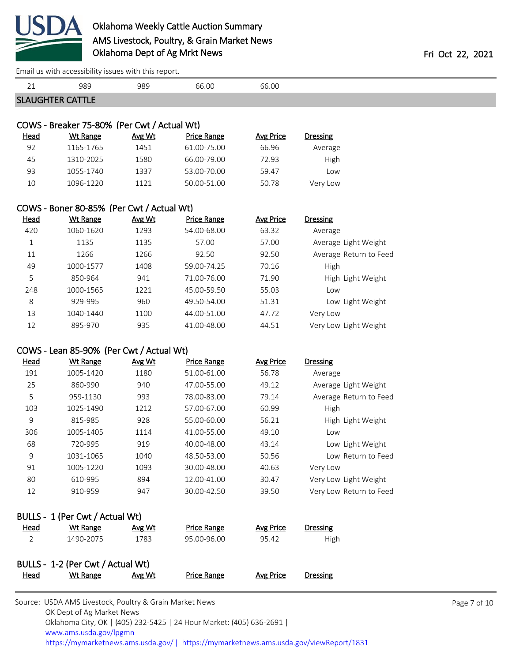

[Email us with accessibility issues with this report.](mailto:mars@ams.usda.gov?subject=508%20issue)

| 21           | 989                                                          | 989    | 66.00              | 66.00            |                         |  |
|--------------|--------------------------------------------------------------|--------|--------------------|------------------|-------------------------|--|
|              | <b>SLAUGHTER CATTLE</b>                                      |        |                    |                  |                         |  |
|              |                                                              |        |                    |                  |                         |  |
|              | COWS - Breaker 75-80% (Per Cwt / Actual Wt)                  |        |                    |                  |                         |  |
| <b>Head</b>  | <b>Wt Range</b>                                              | Avg Wt | <b>Price Range</b> | <b>Avg Price</b> | <b>Dressing</b>         |  |
| 92           | 1165-1765                                                    | 1451   | 61.00-75.00        | 66.96            | Average                 |  |
| 45           | 1310-2025                                                    | 1580   | 66.00-79.00        | 72.93            | High                    |  |
| 93           | 1055-1740                                                    | 1337   | 53.00-70.00        | 59.47            | Low                     |  |
| 10           | 1096-1220                                                    | 1121   | 50.00-51.00        | 50.78            | Very Low                |  |
|              |                                                              |        |                    |                  |                         |  |
| <b>Head</b>  | COWS - Boner 80-85% (Per Cwt / Actual Wt)<br><b>Wt Range</b> | Avg Wt | <b>Price Range</b> | <b>Avg Price</b> | <b>Dressing</b>         |  |
| 420          | 1060-1620                                                    | 1293   | 54.00-68.00        | 63.32            | Average                 |  |
| $\mathbf{1}$ | 1135                                                         | 1135   | 57.00              | 57.00            | Average Light Weight    |  |
| 11           | 1266                                                         | 1266   | 92.50              | 92.50            | Average Return to Feed  |  |
| 49           | 1000-1577                                                    | 1408   | 59.00-74.25        | 70.16            | High                    |  |
| 5            | 850-964                                                      | 941    | 71.00-76.00        | 71.90            | High Light Weight       |  |
| 248          | 1000-1565                                                    | 1221   | 45.00-59.50        | 55.03            | Low                     |  |
| 8            | 929-995                                                      | 960    | 49.50-54.00        | 51.31            | Low Light Weight        |  |
| 13           | 1040-1440                                                    | 1100   | 44.00-51.00        | 47.72            | Very Low                |  |
| 12           | 895-970                                                      | 935    | 41.00-48.00        | 44.51            | Very Low Light Weight   |  |
|              |                                                              |        |                    |                  |                         |  |
|              | COWS - Lean 85-90% (Per Cwt / Actual Wt)                     |        |                    |                  |                         |  |
| <b>Head</b>  | <b>Wt Range</b>                                              | Avg Wt | <b>Price Range</b> | <b>Avg Price</b> | <b>Dressing</b>         |  |
| 191          | 1005-1420                                                    | 1180   | 51.00-61.00        | 56.78            | Average                 |  |
| 25           | 860-990                                                      | 940    | 47.00-55.00        | 49.12            | Average Light Weight    |  |
| 5            | 959-1130                                                     | 993    | 78.00-83.00        | 79.14            | Average Return to Feed  |  |
| 103          | 1025-1490                                                    | 1212   | 57.00-67.00        | 60.99            | High                    |  |
| 9            | 815-985                                                      | 928    | 55.00-60.00        | 56.21            | High Light Weight       |  |
| 306          | 1005-1405                                                    | 1114   | 41.00-55.00        | 49.10            | Low                     |  |
| 68           | 720-995                                                      | 919    | 40.00-48.00        | 43.14            | Low Light Weight        |  |
| 9            | 1031-1065                                                    | 1040   | 48.50-53.00        | 50.56            | Low Return to Feed      |  |
| 91           | 1005-1220                                                    | 1093   | 30.00-48.00        | 40.63            | Very Low                |  |
| 80           | 610-995                                                      | 894    | 12.00-41.00        | 30.47            | Very Low Light Weight   |  |
| 12           | 910-959                                                      | 947    | 30.00-42.50        | 39.50            | Very Low Return to Feed |  |
|              | BULLS - 1 (Per Cwt / Actual Wt)                              |        |                    |                  |                         |  |
| <u>Head</u>  | <b>Wt Range</b>                                              | Avg Wt | <b>Price Range</b> | <b>Avg Price</b> | Dressing                |  |
| 2            | 1490-2075                                                    | 1783   | 95.00-96.00        | 95.42            | High                    |  |
|              | BULLS - 1-2 (Per Cwt / Actual Wt)                            |        |                    |                  |                         |  |
| <b>Head</b>  | <b>Wt Range</b>                                              | Avg Wt | <b>Price Range</b> | <b>Avg Price</b> | Dressing                |  |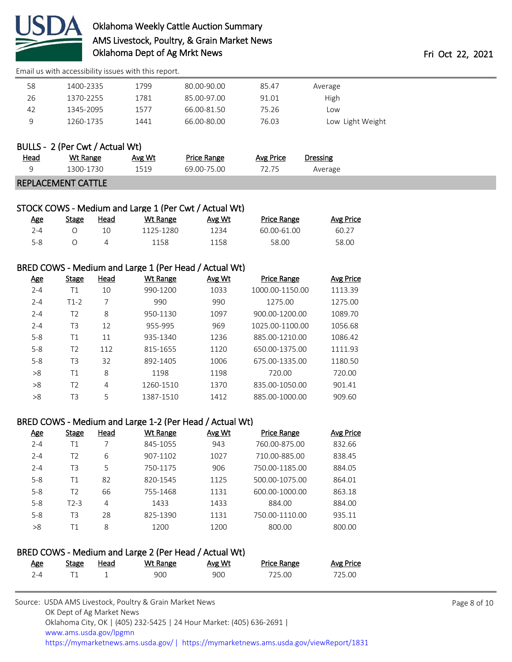

[Email us with accessibility issues with this report.](mailto:mars@ams.usda.gov?subject=508%20issue)

| 58 | 1400-2335 | 1799 | 80.00-90.00 | 85.47 | Average          |  |
|----|-----------|------|-------------|-------|------------------|--|
| 26 | 1370-2255 | 1781 | 85.00-97.00 | 91.01 | High             |  |
| 42 | 1345-2095 | 1577 | 66.00-81.50 | 75.26 | Low              |  |
| 9  | 1260-1735 | 1441 | 66.00-80.00 | 76.03 | Low Light Weight |  |
|    |           |      |             |       |                  |  |

|             | BULLS - 2 (Per Cwt / Actual Wt) |        |             |           |          |  |
|-------------|---------------------------------|--------|-------------|-----------|----------|--|
| <u>Head</u> | Wt Range                        | Avg Wt | Price Range | Avg Price | Dressing |  |
|             | 1300-1730                       | 1519   | 69.00-75.00 | 72.75     | Average  |  |
|             | <b>REPLACEMENT CATTLE</b>       |        |             |           |          |  |

| STOCK COWS - Medium and Large 1 (Per Cwt / Actual Wt) |  |  |  |  |
|-------------------------------------------------------|--|--|--|--|
|-------------------------------------------------------|--|--|--|--|

| Age     | Stage | <u>Head</u> | Wt Range  | Avg Wt | <b>Price Range</b> | Avg Price |
|---------|-------|-------------|-----------|--------|--------------------|-----------|
| 2-4     |       |             | 1125-1280 | 1234   | 60.00-61.00        | 60.27     |
| $5 - 8$ |       | 4           | 1158      | 1158   | 58.00              | 58.00     |

### BRED COWS - Medium and Large 1 (Per Head / Actual Wt)

| <u>Age</u> | Stage          | Head | Wt Range  | Avg Wt | <b>Price Range</b> | Avg Price |
|------------|----------------|------|-----------|--------|--------------------|-----------|
| $2 - 4$    | Τ1             | 10   | 990-1200  | 1033   | 1000.00-1150.00    | 1113.39   |
| $2 - 4$    | $T1-2$         | 7    | 990       | 990    | 1275.00            | 1275.00   |
| $2 - 4$    | T <sub>2</sub> | 8    | 950-1130  | 1097   | 900.00-1200.00     | 1089.70   |
| $2 - 4$    | T <sub>3</sub> | 12   | 955-995   | 969    | 1025.00-1100.00    | 1056.68   |
| $5 - 8$    | Τ1             | 11   | 935-1340  | 1236   | 885.00-1210.00     | 1086.42   |
| $5 - 8$    | T <sub>2</sub> | 112  | 815-1655  | 1120   | 650.00-1375.00     | 1111.93   |
| $5 - 8$    | T <sub>3</sub> | 32   | 892-1405  | 1006   | 675.00-1335.00     | 1180.50   |
| >8         | T1             | 8    | 1198      | 1198   | 720.00             | 720.00    |
| >8         | T <sub>2</sub> | 4    | 1260-1510 | 1370   | 835.00-1050.00     | 901.41    |
| >8         | T3             | 5    | 1387-1510 | 1412   | 885.00-1000.00     | 909.60    |

### BRED COWS - Medium and Large 1-2 (Per Head / Actual Wt)

| <u>Age</u> | <b>Stage</b> | Head | <b>Wt Range</b> | Avg Wt | <b>Price Range</b> | Avg Price |
|------------|--------------|------|-----------------|--------|--------------------|-----------|
| $2 - 4$    | Τ1           | 7    | 845-1055        | 943    | 760.00-875.00      | 832.66    |
| $2 - 4$    | T2           | 6    | 907-1102        | 1027   | 710.00-885.00      | 838.45    |
| $2 - 4$    | T3           | 5    | 750-1175        | 906    | 750.00-1185.00     | 884.05    |
| $5 - 8$    | Τ1           | 82   | 820-1545        | 1125   | 500.00-1075.00     | 864.01    |
| $5 - 8$    | T2           | 66   | 755-1468        | 1131   | 600.00-1000.00     | 863.18    |
| $5 - 8$    | $T2-3$       | 4    | 1433            | 1433   | 884.00             | 884.00    |
| $5 - 8$    | T3           | 28   | 825-1390        | 1131   | 750.00-1110.00     | 935.11    |
| >8         | Τ1           | 8    | 1200            | 1200   | 800.00             | 800.00    |

| BRED COWS - Medium and Large 2 (Per Head / Actual Wt) |       |      |          |        |                    |           |  |
|-------------------------------------------------------|-------|------|----------|--------|--------------------|-----------|--|
| Age                                                   | Stage | Head | Wt Range | Avg Wt | <b>Price Range</b> | Avg Price |  |
| 7-4                                                   |       |      | 900      | 900    | 725.00             | 725.00    |  |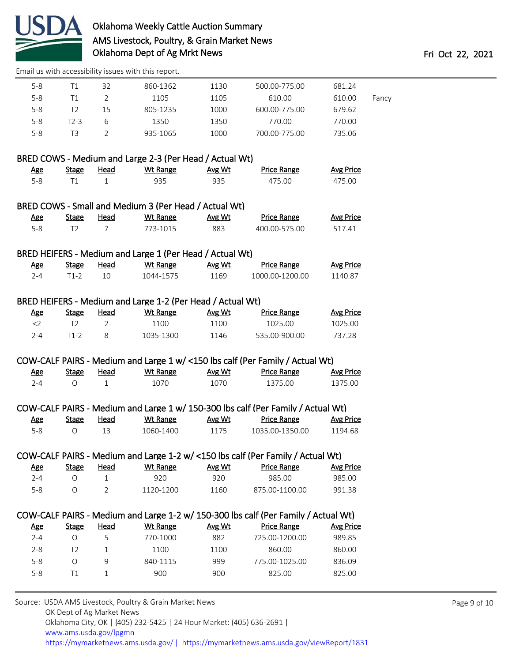

[Email us with accessibility issues with this report.](mailto:mars@ams.usda.gov?subject=508%20issue)

| $5 - 8$    | T1             | 32             | 860-1362                                                   | 1130   | 500.00-775.00                                                                      | 681.24           |       |
|------------|----------------|----------------|------------------------------------------------------------|--------|------------------------------------------------------------------------------------|------------------|-------|
| $5 - 8$    | T1             | $\overline{2}$ | 1105                                                       | 1105   | 610.00                                                                             | 610.00           | Fancy |
| $5 - 8$    | T <sub>2</sub> | 15             | 805-1235                                                   | 1000   | 600.00-775.00                                                                      | 679.62           |       |
| $5-8$      | $T2-3$         | 6              | 1350                                                       | 1350   | 770.00                                                                             | 770.00           |       |
| $5 - 8$    | T <sub>3</sub> | $\overline{2}$ | 935-1065                                                   | 1000   | 700.00-775.00                                                                      | 735.06           |       |
|            |                |                | BRED COWS - Medium and Large 2-3 (Per Head / Actual Wt)    |        |                                                                                    |                  |       |
| <u>Age</u> | <b>Stage</b>   | <b>Head</b>    | <b>Wt Range</b>                                            | Avg Wt | <b>Price Range</b>                                                                 | <b>Avg Price</b> |       |
| $5 - 8$    | T1             | $\mathbf{1}$   | 935                                                        | 935    | 475.00                                                                             | 475.00           |       |
|            |                |                | BRED COWS - Small and Medium 3 (Per Head / Actual Wt)      |        |                                                                                    |                  |       |
| <u>Age</u> | <b>Stage</b>   | <b>Head</b>    | <b>Wt Range</b>                                            | Avg Wt | <b>Price Range</b>                                                                 | <b>Avg Price</b> |       |
| $5 - 8$    | T <sub>2</sub> | $\overline{7}$ | 773-1015                                                   | 883    | 400.00-575.00                                                                      | 517.41           |       |
|            |                |                | BRED HEIFERS - Medium and Large 1 (Per Head / Actual Wt)   |        |                                                                                    |                  |       |
| <u>Age</u> | <b>Stage</b>   | <b>Head</b>    | <b>Wt Range</b>                                            | Avg Wt | <b>Price Range</b>                                                                 | <b>Avg Price</b> |       |
| $2 - 4$    | $T1-2$         | 10             | 1044-1575                                                  | 1169   | 1000.00-1200.00                                                                    | 1140.87          |       |
|            |                |                | BRED HEIFERS - Medium and Large 1-2 (Per Head / Actual Wt) |        |                                                                                    |                  |       |
| <b>Age</b> | <b>Stage</b>   | <b>Head</b>    | <b>Wt Range</b>                                            | Avg Wt | <b>Price Range</b>                                                                 | <b>Avg Price</b> |       |
| $<$ 2      | T <sub>2</sub> | $\overline{2}$ | 1100                                                       | 1100   | 1025.00                                                                            | 1025.00          |       |
| $2 - 4$    | $T1-2$         | 8              | 1035-1300                                                  | 1146   | 535.00-900.00                                                                      | 737.28           |       |
|            |                |                |                                                            |        | COW-CALF PAIRS - Medium and Large 1 w/ <150 lbs calf (Per Family / Actual Wt)      |                  |       |
| <b>Age</b> | <b>Stage</b>   | <b>Head</b>    | <b>Wt Range</b>                                            | Avg Wt | <b>Price Range</b>                                                                 | <b>Avg Price</b> |       |
| $2 - 4$    | $\circ$        | $\mathbf{1}$   | 1070                                                       | 1070   | 1375.00                                                                            | 1375.00          |       |
|            |                |                |                                                            |        | COW-CALF PAIRS - Medium and Large 1 w/ 150-300 lbs calf (Per Family / Actual Wt)   |                  |       |
| <b>Age</b> | <b>Stage</b>   | Head           | <b>Wt Range</b>                                            | Avg Wt | <b>Price Range</b>                                                                 | <b>Avg Price</b> |       |
| $5 - 8$    | $\circ$        | 13             | 1060-1400                                                  | 1175   | 1035.00-1350.00                                                                    | 1194.68          |       |
|            |                |                |                                                            |        | COW-CALF PAIRS - Medium and Large 1-2 w/ <150 lbs calf (Per Family / Actual Wt)    |                  |       |
| <u>Age</u> | <b>Stage</b>   | <b>Head</b>    | <b>Wt Range</b>                                            | Avg Wt | <b>Price Range</b>                                                                 | <b>Avg Price</b> |       |
| $2 - 4$    | $\bigcirc$     | 1              | 920                                                        | 920    | 985.00                                                                             | 985.00           |       |
| $5 - 8$    | $\circ$        | 2              | 1120-1200                                                  | 1160   | 875.00-1100.00                                                                     | 991.38           |       |
|            |                |                |                                                            |        | COW-CALF PAIRS - Medium and Large 1-2 w/ 150-300 lbs calf (Per Family / Actual Wt) |                  |       |
| <b>Age</b> | <b>Stage</b>   | <b>Head</b>    | <b>Wt Range</b>                                            | Avg Wt | <b>Price Range</b>                                                                 | <b>Avg Price</b> |       |
| $2 - 4$    | $\circ$        | 5              | 770-1000                                                   | 882    | 725.00-1200.00                                                                     | 989.85           |       |
| $2 - 8$    | T <sub>2</sub> | 1              | 1100                                                       | 1100   | 860.00                                                                             | 860.00           |       |
| $5 - 8$    | $\bigcirc$     | 9              | 840-1115                                                   | 999    | 775.00-1025.00                                                                     | 836.09           |       |
| $5 - 8$    | T1             | 1              | 900                                                        | 900    | 825.00                                                                             | 825.00           |       |